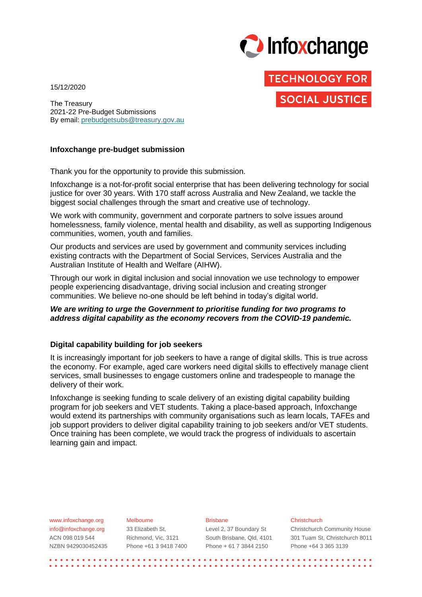

**TECHNOLOGY FOR** 

**SOCIAL JUSTICE** 

15/12/2020

The Treasury 2021-22 Pre-Budget Submissions By email: [prebudgetsubs@treasury.gov.au](mailto:prebudgetsubs@treasury.gov.au)

#### **Infoxchange pre-budget submission**

Thank you for the opportunity to provide this submission.

Infoxchange is a not-for-profit social enterprise that has been delivering technology for social justice for over 30 years. With 170 staff across Australia and New Zealand, we tackle the biggest social challenges through the smart and creative use of technology.

We work with community, government and corporate partners to solve issues around homelessness, family violence, mental health and disability, as well as supporting Indigenous communities, women, youth and families.

Our products and services are used by government and community services including existing contracts with the Department of Social Services, Services Australia and the Australian Institute of Health and Welfare (AIHW).

Through our work in digital inclusion and social innovation we use technology to empower people experiencing disadvantage, driving social inclusion and creating stronger communities. We believe no-one should be left behind in today's digital world.

## *We are writing to urge the Government to prioritise funding for two programs to address digital capability as the economy recovers from the COVID-19 pandemic.*

#### **Digital capability building for job seekers**

It is increasingly important for job seekers to have a range of digital skills. This is true across the economy. For example, aged care workers need digital skills to effectively manage client services, small businesses to engage customers online and tradespeople to manage the delivery of their work.

Infoxchange is seeking funding to scale delivery of an existing digital capability building program for job seekers and VET students. Taking a place-based approach, Infoxchange would extend its partnerships with community organisations such as learn locals, TAFEs and job support providers to deliver digital capability training to job seekers and/or VET students. Once training has been complete, we would track the progress of individuals to ascertain learning gain and impact.

| www.infoxchange.org  | Melbourne             | <b>Brisbane</b>           | Christchurch                        |
|----------------------|-----------------------|---------------------------|-------------------------------------|
| info@infoxchange.org | 33 Elizabeth St.      | Level 2, 37 Boundary St   | <b>Christchurch Community House</b> |
| ACN 098 019 544      | Richmond, Vic. 3121   | South Brisbane, Qld, 4101 | 301 Tuam St, Christchurch 8011      |
| NZBN 9429030452435   | Phone +61 3 9418 7400 | Phone + 61 7 3844 2150    | Phone +64 3 365 3139                |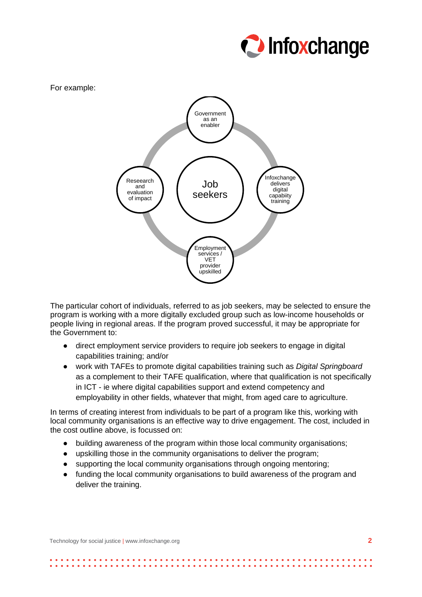



The particular cohort of individuals, referred to as job seekers, may be selected to ensure the program is working with a more digitally excluded group such as low-income households or people living in regional areas. If the program proved successful, it may be appropriate for the Government to:

- direct employment service providers to require job seekers to engage in digital capabilities training; and/or
- work with TAFEs to promote digital capabilities training such as *Digital Springboard*  as a complement to their TAFE qualification, where that qualification is not specifically in ICT - ie where digital capabilities support and extend competency and employability in other fields, whatever that might, from aged care to agriculture.

In terms of creating interest from individuals to be part of a program like this, working with local community organisations is an effective way to drive engagement. The cost, included in the cost outline above, is focussed on:

- building awareness of the program within those local community organisations;
- upskilling those in the community organisations to deliver the program;
- supporting the local community organisations through ongoing mentoring;
- funding the local community organisations to build awareness of the program and deliver the training.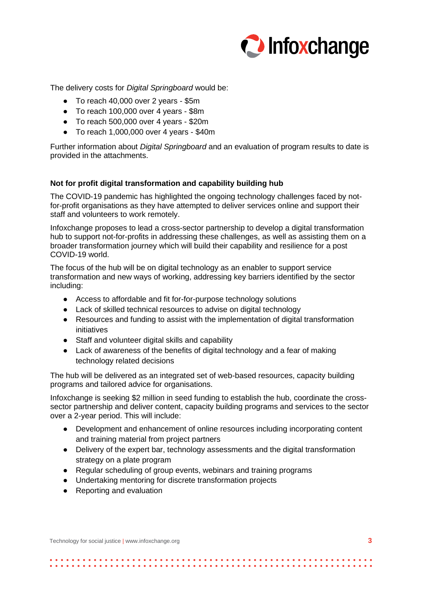

The delivery costs for *Digital Springboard* would be:

- To reach 40,000 over 2 years \$5m
- To reach 100,000 over 4 years \$8m
- To reach 500,000 over 4 years \$20m
- $\bullet$  To reach 1,000,000 over 4 years \$40m

Further information about *Digital Springboard* and an evaluation of program results to date is provided in the attachments.

# **Not for profit digital transformation and capability building hub**

The COVID-19 pandemic has highlighted the ongoing technology challenges faced by notfor-profit organisations as they have attempted to deliver services online and support their staff and volunteers to work remotely.

Infoxchange proposes to lead a cross-sector partnership to develop a digital transformation hub to support not-for-profits in addressing these challenges, as well as assisting them on a broader transformation journey which will build their capability and resilience for a post COVID-19 world.

The focus of the hub will be on digital technology as an enabler to support service transformation and new ways of working, addressing key barriers identified by the sector including:

- Access to affordable and fit for-for-purpose technology solutions
- Lack of skilled technical resources to advise on digital technology
- Resources and funding to assist with the implementation of digital transformation initiatives
- Staff and volunteer digital skills and capability
- Lack of awareness of the benefits of digital technology and a fear of making technology related decisions

The hub will be delivered as an integrated set of web-based resources, capacity building programs and tailored advice for organisations.

Infoxchange is seeking \$2 million in seed funding to establish the hub, coordinate the crosssector partnership and deliver content, capacity building programs and services to the sector over a 2-year period. This will include:

- Development and enhancement of online resources including incorporating content and training material from project partners
- Delivery of the expert bar, technology assessments and the digital transformation strategy on a plate program
- Regular scheduling of group events, webinars and training programs
- Undertaking mentoring for discrete transformation projects
- Reporting and evaluation